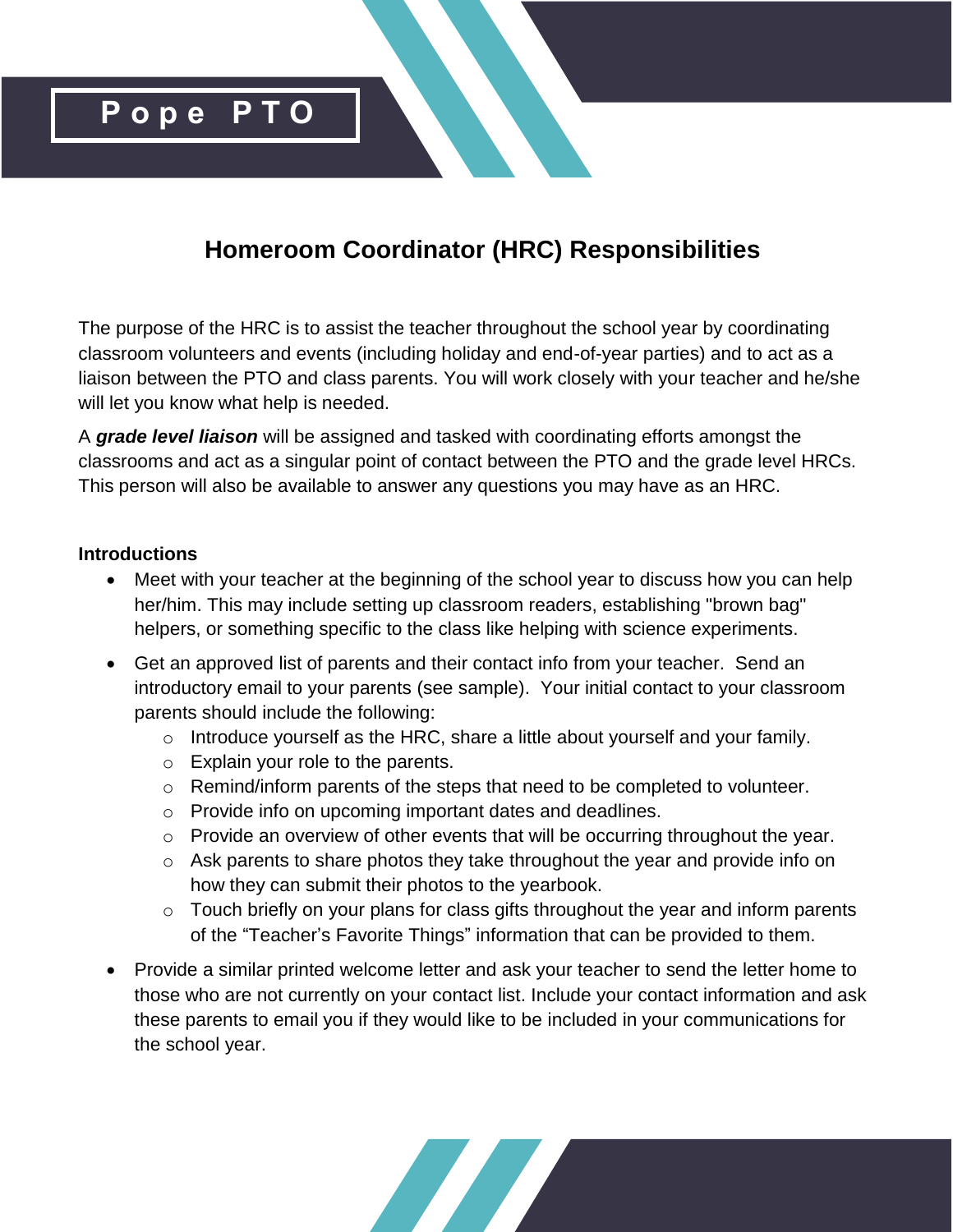

# **Homeroom Coordinator (HRC) Responsibilities**

The purpose of the HRC is to assist the teacher throughout the school year by coordinating classroom volunteers and events (including holiday and end-of-year parties) and to act as a liaison between the PTO and class parents. You will work closely with your teacher and he/she will let you know what help is needed.

A *grade level liaison* will be assigned and tasked with coordinating efforts amongst the classrooms and act as a singular point of contact between the PTO and the grade level HRCs. This person will also be available to answer any questions you may have as an HRC.

#### **Introductions**

- Meet with your teacher at the beginning of the school year to discuss how you can help her/him. This may include setting up classroom readers, establishing "brown bag" helpers, or something specific to the class like helping with science experiments.
- Get an approved list of parents and their contact info from your teacher. Send an introductory email to your parents (see sample). Your initial contact to your classroom parents should include the following:
	- o Introduce yourself as the HRC, share a little about yourself and your family.
	- o Explain your role to the parents.
	- o Remind/inform parents of the steps that need to be completed to volunteer.
	- o Provide info on upcoming important dates and deadlines.
	- o Provide an overview of other events that will be occurring throughout the year.
	- o Ask parents to share photos they take throughout the year and provide info on how they can submit their photos to the yearbook.
	- $\circ$  Touch briefly on your plans for class gifts throughout the year and inform parents of the "Teacher's Favorite Things" information that can be provided to them.
- Provide a similar printed welcome letter and ask your teacher to send the letter home to those who are not currently on your contact list. Include your contact information and ask these parents to email you if they would like to be included in your communications for the school year.

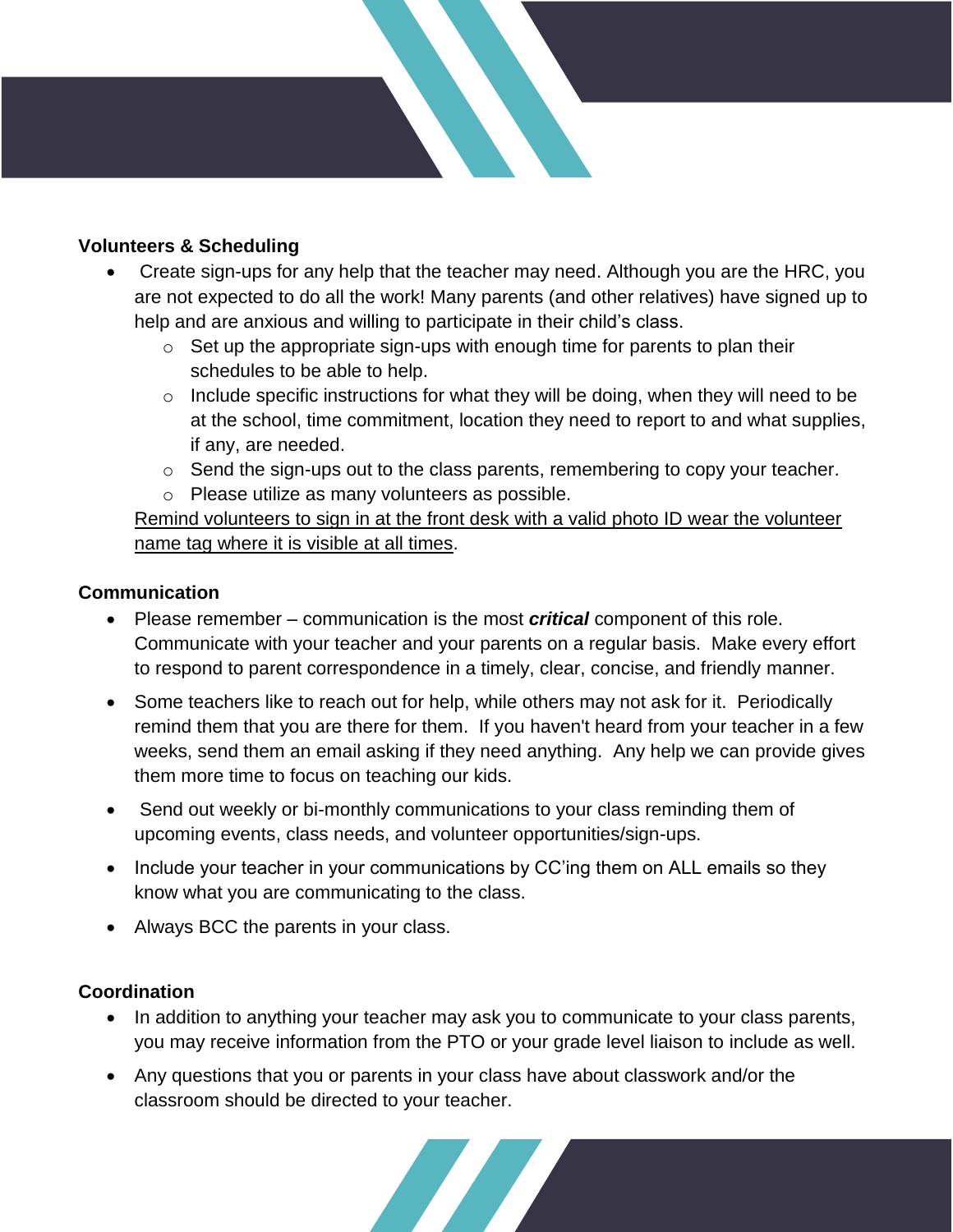## **Volunteers & Scheduling**

- Create sign-ups for any help that the teacher may need. Although you are the HRC, you are not expected to do all the work! Many parents (and other relatives) have signed up to help and are anxious and willing to participate in their child's class.
	- $\circ$  Set up the appropriate sign-ups with enough time for parents to plan their schedules to be able to help.
	- $\circ$  Include specific instructions for what they will be doing, when they will need to be at the school, time commitment, location they need to report to and what supplies, if any, are needed.
	- o Send the sign-ups out to the class parents, remembering to copy your teacher.
	- o Please utilize as many volunteers as possible.

Remind volunteers to sign in at the front desk with a valid photo ID wear the volunteer name tag where it is visible at all times.

### **Communication**

- Please remember communication is the most *critical* component of this role. Communicate with your teacher and your parents on a regular basis. Make every effort to respond to parent correspondence in a timely, clear, concise, and friendly manner.
- Some teachers like to reach out for help, while others may not ask for it. Periodically remind them that you are there for them. If you haven't heard from your teacher in a few weeks, send them an email asking if they need anything. Any help we can provide gives them more time to focus on teaching our kids.
- Send out weekly or bi-monthly communications to your class reminding them of upcoming events, class needs, and volunteer opportunities/sign-ups.
- Include your teacher in your communications by CC'ing them on ALL emails so they know what you are communicating to the class.
- Always BCC the parents in your class.

### **Coordination**

- In addition to anything your teacher may ask you to communicate to your class parents, you may receive information from the PTO or your grade level liaison to include as well.
- Any questions that you or parents in your class have about classwork and/or the classroom should be directed to your teacher.